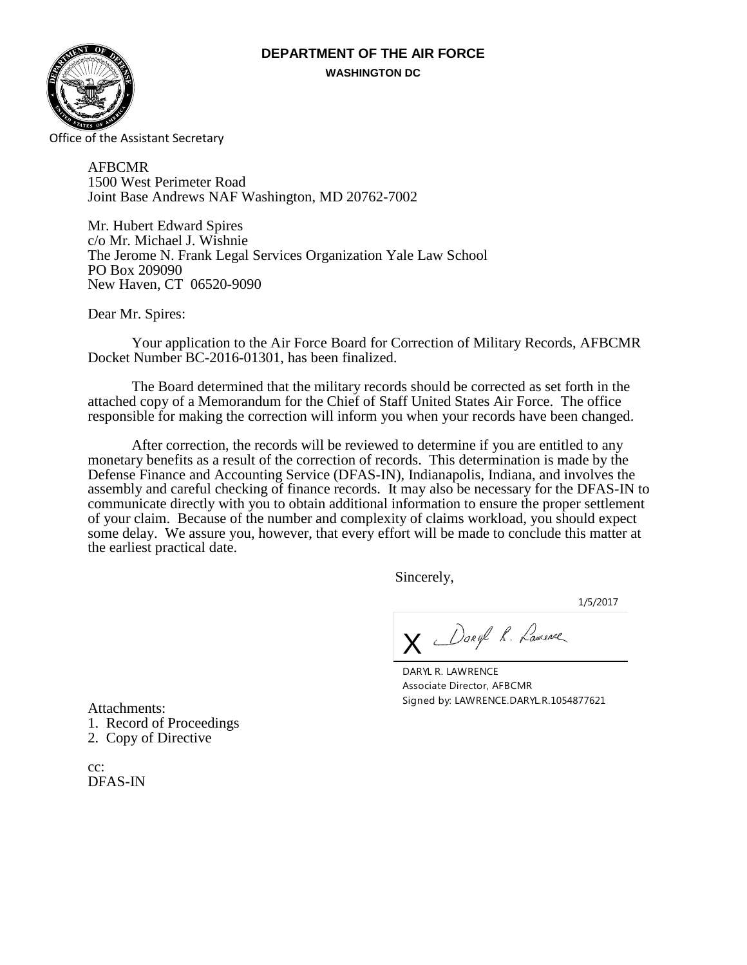# **DEPARTMENT OF THE AIR FORCE WASHINGTON DC**



Office of the Assistant Secretary

AFBCMR 1500 West Perimeter Road Joint Base Andrews NAF Washington, MD 20762-7002

Mr. Hubert Edward Spires c/o Mr. Michael J. Wishnie The Jerome N. Frank Legal Services Organization Yale Law School PO Box 209090 New Haven, CT 06520-9090

Dear Mr. Spires:

Your application to the Air Force Board for Correction of Military Records, AFBCMR Docket Number BC-2016-01301, has been finalized.

The Board determined that the military records should be corrected as set forth in the attached copy of a Memorandum for the Chief of Staff United States Air Force. The office responsible for making the correction will inform you when your records have been changed.

After correction, the records will be reviewed to determine if you are entitled to any monetary benefits as a result of the correction of records. This determination is made by the Defense Finance and Accounting Service (DFAS-IN), Indianapolis, Indiana, and involves the assembly and careful checking of finance records. It may also be necessary for the DFAS-IN to communicate directly with you to obtain additional information to ensure the proper settlement of your claim. Because of the number and complexity of claims workload, you should expect some delay. We assure you, however, that every effort will be made to conclude this matter at the earliest practical date.

Sincerely,

1/5/2017

X Daryl R. Lamence

DARYL R. LAWRENCE Associate Director, AFBCMR Signed by: LAWRENCE.DARYL.R.1054877621

Attachments: 1. Record of Proceedings 2. Copy of Directive

cc: DFAS-IN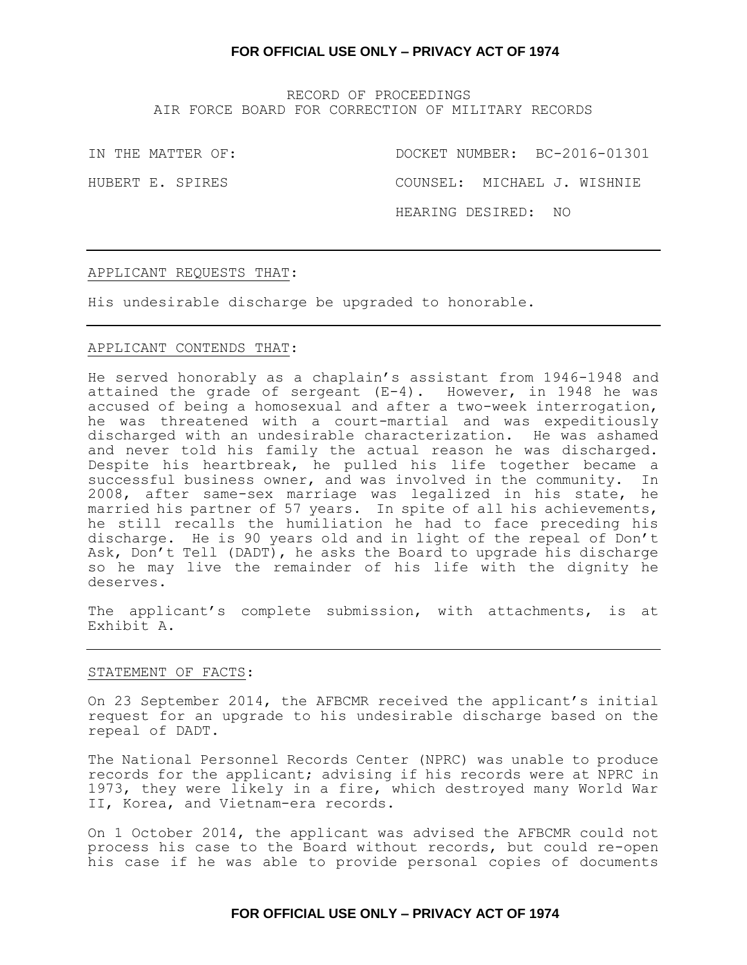RECORD OF PROCEEDINGS AIR FORCE BOARD FOR CORRECTION OF MILITARY RECORDS

IN THE MATTER OF: DOCKET NUMBER: BC-2016-01301

HUBERT E. SPIRES COUNSEL: MICHAEL J. WISHNIE

HEARING DESIRED: NO

#### APPLICANT REQUESTS THAT:

His undesirable discharge be upgraded to honorable.

## APPLICANT CONTENDS THAT:

He served honorably as a chaplain's assistant from 1946-1948 and attained the grade of sergeant (E-4). However, in 1948 he was accused of being a homosexual and after a two-week interrogation, he was threatened with a court-martial and was expeditiously discharged with an undesirable characterization. He was ashamed and never told his family the actual reason he was discharged. Despite his heartbreak, he pulled his life together became a successful business owner, and was involved in the community. In 2008, after same-sex marriage was legalized in his state, he married his partner of 57 years. In spite of all his achievements, he still recalls the humiliation he had to face preceding his discharge. He is 90 years old and in light of the repeal of Don't Ask, Don't Tell (DADT), he asks the Board to upgrade his discharge so he may live the remainder of his life with the dignity he deserves.

The applicant's complete submission, with attachments, is at Exhibit A.

#### STATEMENT OF FACTS:

On 23 September 2014, the AFBCMR received the applicant's initial request for an upgrade to his undesirable discharge based on the repeal of DADT.

The National Personnel Records Center (NPRC) was unable to produce records for the applicant; advising if his records were at NPRC in 1973, they were likely in a fire, which destroyed many World War II, Korea, and Vietnam-era records.

On 1 October 2014, the applicant was advised the AFBCMR could not process his case to the Board without records, but could re-open his case if he was able to provide personal copies of documents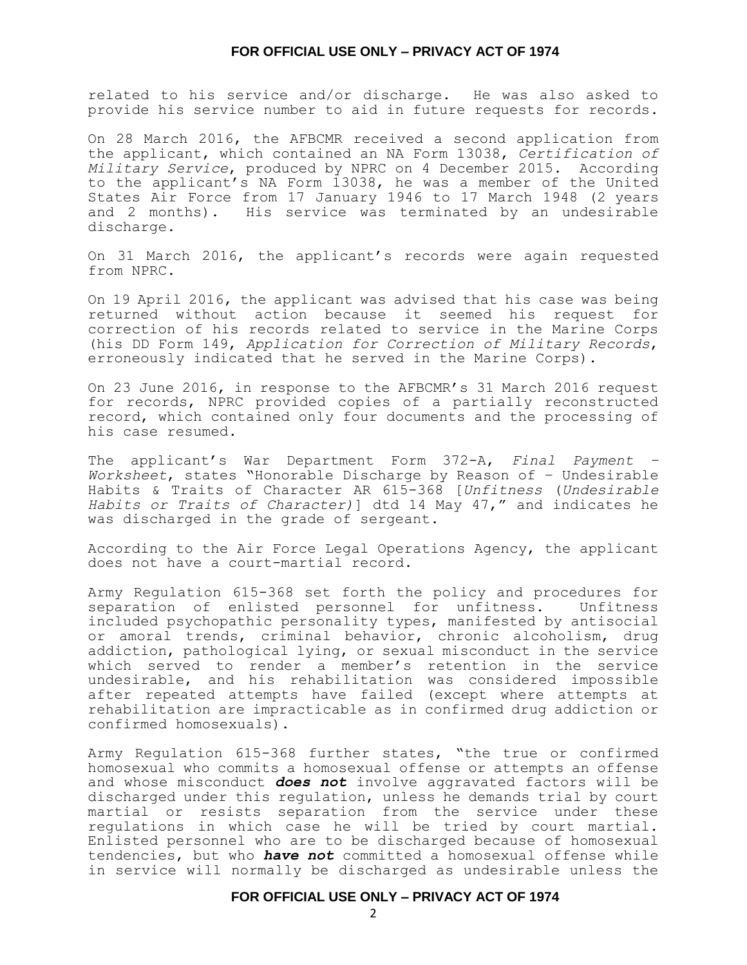related to his service and/or discharge. He was also asked to provide his service number to aid in future requests for records.

On 28 March 2016, the AFBCMR received a second application from the applicant, which contained an NA Form 13038, *Certification of Military Service*, produced by NPRC on 4 December 2015. According to the applicant's NA Form 13038, he was a member of the United States Air Force from 17 January 1946 to 17 March 1948 (2 years and 2 months). His service was terminated by an undesirable discharge.

On 31 March 2016, the applicant's records were again requested from NPRC.

On 19 April 2016, the applicant was advised that his case was being returned without action because it seemed his request for correction of his records related to service in the Marine Corps (his DD Form 149, *Application for Correction of Military Records*, erroneously indicated that he served in the Marine Corps).

On 23 June 2016, in response to the AFBCMR's 31 March 2016 request for records, NPRC provided copies of a partially reconstructed record, which contained only four documents and the processing of his case resumed.

The applicant's War Department Form 372-A, *Final Payment – Worksheet*, states "Honorable Discharge by Reason of – Undesirable Habits & Traits of Character AR 615-368 [*Unfitness* (*Undesirable Habits or Traits of Character)*] dtd 14 May 47," and indicates he was discharged in the grade of sergeant.

According to the Air Force Legal Operations Agency, the applicant does not have a court-martial record.

Army Regulation 615-368 set forth the policy and procedures for separation of enlisted personnel for unfitness. Unfitness included psychopathic personality types, manifested by antisocial or amoral trends, criminal behavior, chronic alcoholism, drug addiction, pathological lying, or sexual misconduct in the service which served to render a member's retention in the service undesirable, and his rehabilitation was considered impossible after repeated attempts have failed (except where attempts at rehabilitation are impracticable as in confirmed drug addiction or confirmed homosexuals).

Army Regulation 615-368 further states, "the true or confirmed homosexual who commits a homosexual offense or attempts an offense and whose misconduct *does not* involve aggravated factors will be discharged under this regulation, unless he demands trial by court martial or resists separation from the service under these regulations in which case he will be tried by court martial. Enlisted personnel who are to be discharged because of homosexual tendencies, but who *have not* committed a homosexual offense while in service will normally be discharged as undesirable unless the

## **FOR OFFICIAL USE ONLY – PRIVACY ACT OF 1974**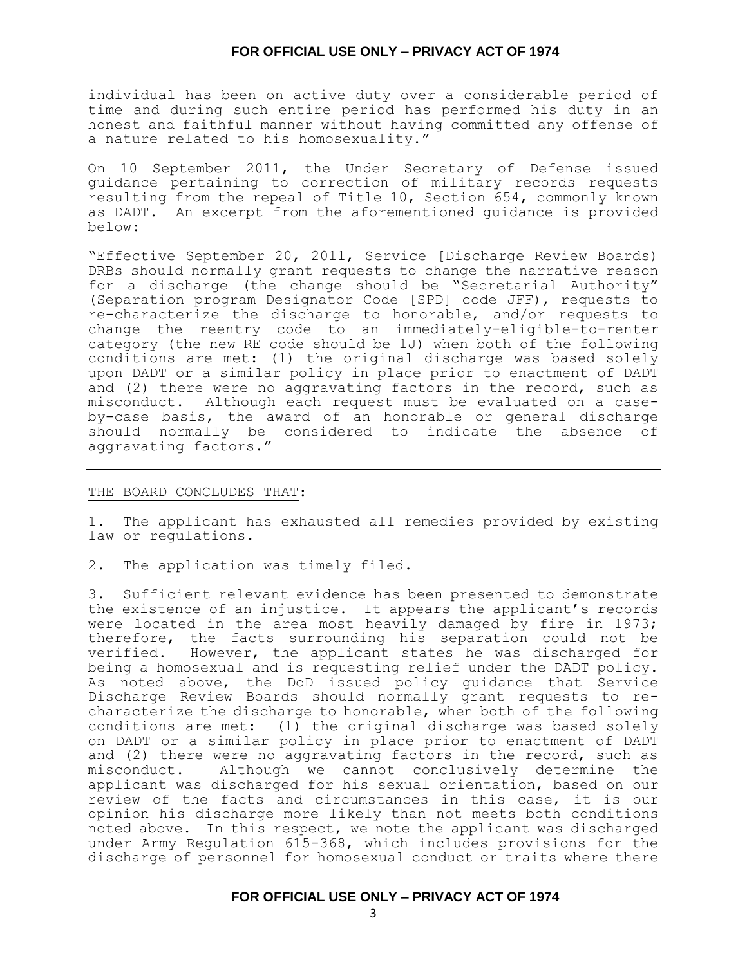individual has been on active duty over a considerable period of time and during such entire period has performed his duty in an honest and faithful manner without having committed any offense of a nature related to his homosexuality."

On 10 September 2011, the Under Secretary of Defense issued guidance pertaining to correction of military records requests resulting from the repeal of Title 10, Section 654, commonly known as DADT. An excerpt from the aforementioned guidance is provided below:

"Effective September 20, 2011, Service [Discharge Review Boards) DRBs should normally grant requests to change the narrative reason for a discharge (the change should be "Secretarial Authority" (Separation program Designator Code [SPD] code JFF), requests to re-characterize the discharge to honorable, and/or requests to change the reentry code to an immediately-eligible-to-renter category (the new RE code should be 1J) when both of the following conditions are met: (1) the original discharge was based solely upon DADT or a similar policy in place prior to enactment of DADT and (2) there were no aggravating factors in the record, such as misconduct. Although each request must be evaluated on a caseby-case basis, the award of an honorable or general discharge should normally be considered to indicate the absence of aggravating factors."

#### THE BOARD CONCLUDES THAT:

1. The applicant has exhausted all remedies provided by existing law or regulations.

2. The application was timely filed.

3. Sufficient relevant evidence has been presented to demonstrate the existence of an injustice. It appears the applicant's records were located in the area most heavily damaged by fire in 1973; therefore, the facts surrounding his separation could not be verified. However, the applicant states he was discharged for being a homosexual and is requesting relief under the DADT policy. As noted above, the DoD issued policy guidance that Service Discharge Review Boards should normally grant requests to recharacterize the discharge to honorable, when both of the following conditions are met: (1) the original discharge was based solely on DADT or a similar policy in place prior to enactment of DADT and (2) there were no aggravating factors in the record, such as misconduct. Although we cannot conclusively determine the applicant was discharged for his sexual orientation, based on our review of the facts and circumstances in this case, it is our opinion his discharge more likely than not meets both conditions noted above. In this respect, we note the applicant was discharged under Army Regulation 615-368, which includes provisions for the discharge of personnel for homosexual conduct or traits where there

## **FOR OFFICIAL USE ONLY – PRIVACY ACT OF 1974**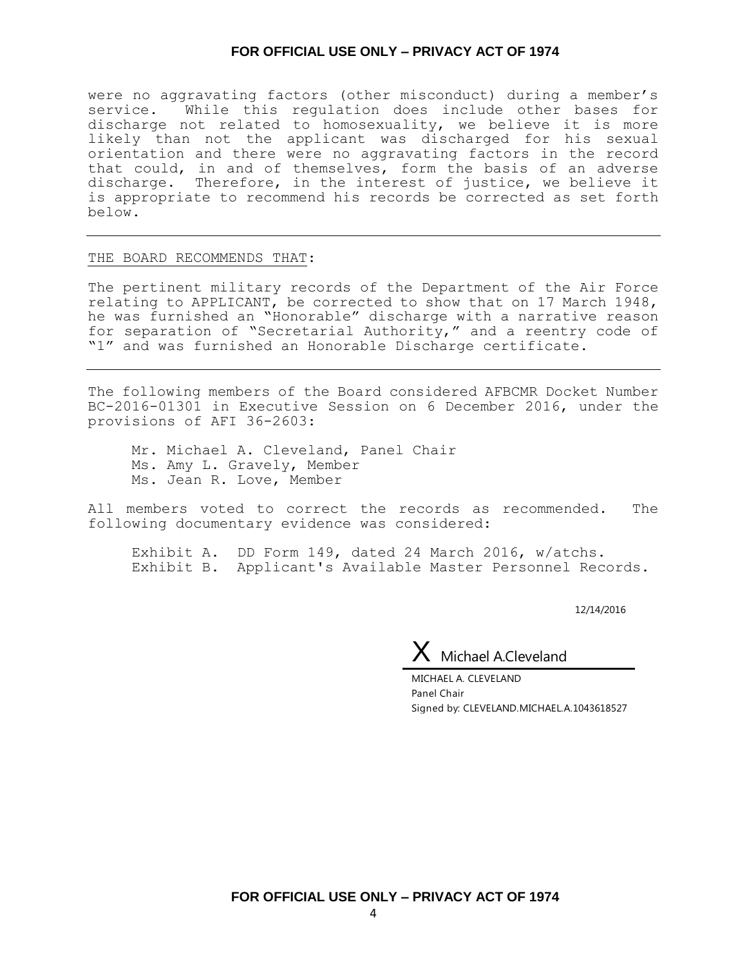were no aggravating factors (other misconduct) during a member's service. While this regulation does include other bases for discharge not related to homosexuality, we believe it is more likely than not the applicant was discharged for his sexual orientation and there were no aggravating factors in the record that could, in and of themselves, form the basis of an adverse discharge. Therefore, in the interest of justice, we believe it is appropriate to recommend his records be corrected as set forth below.

#### THE BOARD RECOMMENDS THAT:

The pertinent military records of the Department of the Air Force relating to APPLICANT, be corrected to show that on 17 March 1948, he was furnished an "Honorable" discharge with a narrative reason for separation of "Secretarial Authority," and a reentry code of "1" and was furnished an Honorable Discharge certificate.

The following members of the Board considered AFBCMR Docket Number BC-2016-01301 in Executive Session on 6 December 2016, under the provisions of AFI 36-2603:

Mr. Michael A. Cleveland, Panel Chair Ms. Amy L. Gravely, Member Ms. Jean R. Love, Member

All members voted to correct the records as recommended. The following documentary evidence was considered:

Exhibit A. DD Form 149, dated 24 March 2016, w/atchs. Exhibit B. Applicant's Available Master Personnel Records.

12/14/2016

 $X$  Michael A.Cleveland

MICHAEL A. CLEVELAND Panel Chair Signed by: CLEVELAND.MICHAEL.A.1043618527